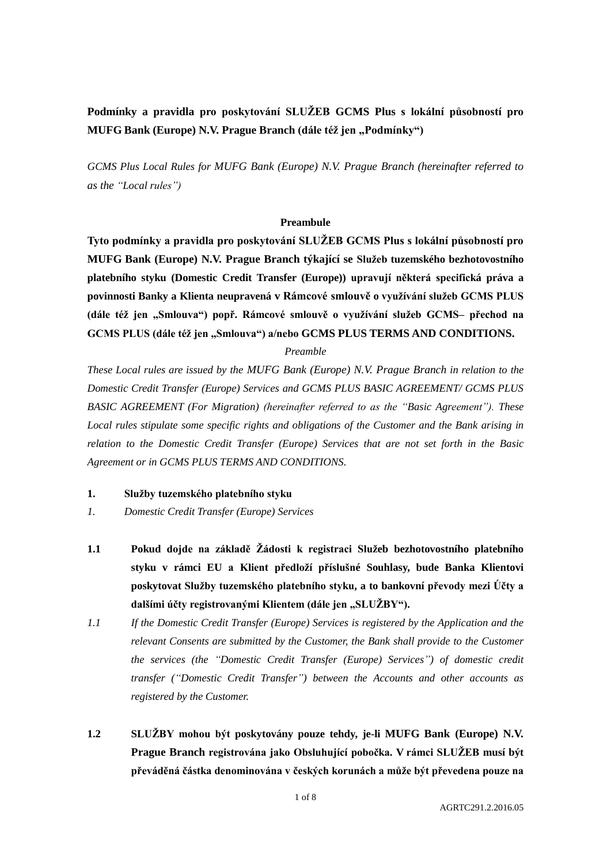**Podmínky a pravidla pro poskytování SLUŽEB GCMS Plus s lokální působností pro MUFG Bank (Europe) N.V. Prague Branch (dále též jen "Podmínky")** 

*GCMS Plus Local Rules for MUFG Bank (Europe) N.V. Prague Branch (hereinafter referred to as the "Local rules")*

# **Preambule**

**Tyto podmínky a pravidla pro poskytování SLUŽEB GCMS Plus s lokální působností pro MUFG Bank (Europe) N.V. Prague Branch týkající se Služeb tuzemského bezhotovostního platebního styku (Domestic Credit Transfer (Europe)) upravují některá specifická práva a povinnosti Banky a Klienta neupravená v Rámcové smlouvě o využívání služeb GCMS PLUS (dále též jen "Smlouva") popř. Rámcové smlouvě o využívání služeb GCMS– přechod na GCMS PLUS (dále též jen "Smlouva") a/nebo GCMS PLUS TERMS AND CONDITIONS.**

## *Preamble*

*These Local rules are issued by the MUFG Bank (Europe) N.V. Prague Branch in relation to the Domestic Credit Transfer (Europe) Services and GCMS PLUS BASIC AGREEMENT/ GCMS PLUS BASIC AGREEMENT (For Migration) (hereinafter referred to as the "Basic Agreement"). These Local rules stipulate some specific rights and obligations of the Customer and the Bank arising in relation to the Domestic Credit Transfer (Europe) Services that are not set forth in the Basic Agreement or in GCMS PLUS TERMS AND CONDITIONS.*

### **1. Služby tuzemského platebního styku**

- *1. Domestic Credit Transfer (Europe) Services*
- **1.1 Pokud dojde na základě Žádosti k registraci Služeb bezhotovostního platebního styku v rámci EU a Klient předloží příslušné Souhlasy, bude Banka Klientovi poskytovat Služby tuzemského platebního styku, a to bankovní převody mezi Účty a**  dalšími účty registrovanými Klientem (dále jen "SLUŽBY").
- *1.1 If the Domestic Credit Transfer (Europe) Services is registered by the Application and the relevant Consents are submitted by the Customer, the Bank shall provide to the Customer the services (the "Domestic Credit Transfer (Europe) Services") of domestic credit transfer ("Domestic Credit Transfer") between the Accounts and other accounts as registered by the Customer.*
- **1.2 SLUŽBY mohou být poskytovány pouze tehdy, je-li MUFG Bank (Europe) N.V. Prague Branch registrována jako Obsluhující pobočka. V rámci SLUŽEB musí být převáděná částka denominována v českých korunách a může být převedena pouze na**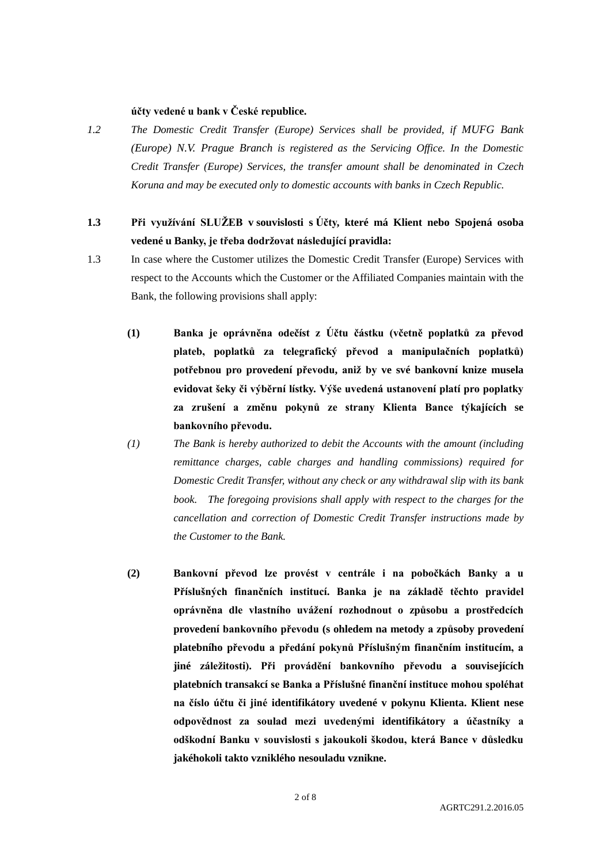## **účty vedené u bank v České republice.**

- *1.2 The Domestic Credit Transfer (Europe) Services shall be provided, if MUFG Bank (Europe) N.V. Prague Branch is registered as the Servicing Office. In the Domestic Credit Transfer (Europe) Services, the transfer amount shall be denominated in Czech Koruna and may be executed only to domestic accounts with banks in Czech Republic.*
- **1.3 Při využívání SLUŽEB v souvislosti s Účty, které má Klient nebo Spojená osoba vedené u Banky, je třeba dodržovat následující pravidla:**
- 1.3 In case where the Customer utilizes the Domestic Credit Transfer (Europe) Services with respect to the Accounts which the Customer or the Affiliated Companies maintain with the Bank, the following provisions shall apply:
	- **(1) Banka je oprávněna odečíst z Účtu částku (včetně poplatků za převod plateb, poplatků za telegrafický převod a manipulačních poplatků) potřebnou pro provedení převodu, aniž by ve své bankovní knize musela evidovat šeky či výběrní lístky. Výše uvedená ustanovení platí pro poplatky za zrušení a změnu pokynů ze strany Klienta Bance týkajících se bankovního převodu.**
	- *(1) The Bank is hereby authorized to debit the Accounts with the amount (including remittance charges, cable charges and handling commissions) required for Domestic Credit Transfer, without any check or any withdrawal slip with its bank book.* The foregoing provisions shall apply with respect to the charges for the *cancellation and correction of Domestic Credit Transfer instructions made by the Customer to the Bank.*
	- **(2) Bankovní převod lze provést v centrále i na pobočkách Banky a u Příslušných finančních institucí. Banka je na základě těchto pravidel oprávněna dle vlastního uvážení rozhodnout o způsobu a prostředcích provedení bankovního převodu (s ohledem na metody a způsoby provedení platebního převodu a předání pokynů Příslušným finančním institucím, a jiné záležitosti). Při provádění bankovního převodu a souvisejících platebních transakcí se Banka a Příslušné finanční instituce mohou spoléhat na číslo účtu či jiné identifikátory uvedené v pokynu Klienta. Klient nese odpovědnost za soulad mezi uvedenými identifikátory a účastníky a odškodní Banku v souvislosti s jakoukoli škodou, která Bance v důsledku jakéhokoli takto vzniklého nesouladu vznikne.**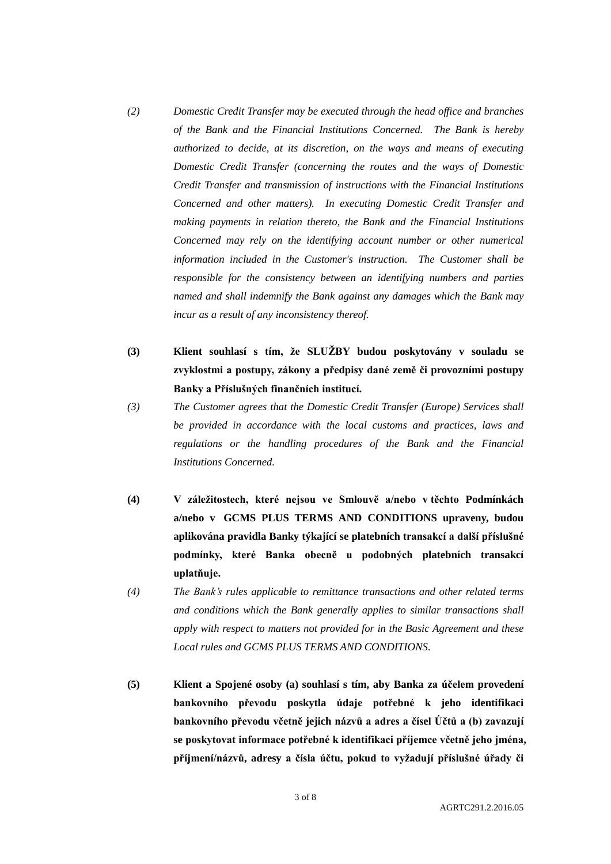- *(2) Domestic Credit Transfer may be executed through the head office and branches of the Bank and the Financial Institutions Concerned. The Bank is hereby authorized to decide, at its discretion, on the ways and means of executing Domestic Credit Transfer (concerning the routes and the ways of Domestic Credit Transfer and transmission of instructions with the Financial Institutions Concerned and other matters). In executing Domestic Credit Transfer and making payments in relation thereto, the Bank and the Financial Institutions Concerned may rely on the identifying account number or other numerical information included in the Customer's instruction. The Customer shall be responsible for the consistency between an identifying numbers and parties named and shall indemnify the Bank against any damages which the Bank may incur as a result of any inconsistency thereof.*
- **(3) Klient souhlasí s tím, že SLUŽBY budou poskytovány v souladu se zvyklostmi a postupy, zákony a předpisy dané země či provozními postupy Banky a Příslušných finančních institucí.**
- *(3) The Customer agrees that the Domestic Credit Transfer (Europe) Services shall be provided in accordance with the local customs and practices, laws and regulations or the handling procedures of the Bank and the Financial Institutions Concerned.*
- **(4) V záležitostech, které nejsou ve Smlouvě a/nebo v těchto Podmínkách a/nebo v GCMS PLUS TERMS AND CONDITIONS upraveny, budou aplikována pravidla Banky týkající se platebních transakcí a další příslušné podmínky, které Banka obecně u podobných platebních transakcí uplatňuje.**
- *(4) The Bank's rules applicable to remittance transactions and other related terms and conditions which the Bank generally applies to similar transactions shall apply with respect to matters not provided for in the Basic Agreement and these Local rules and GCMS PLUS TERMS AND CONDITIONS.*
- **(5) Klient a Spojené osoby (a) souhlasí s tím, aby Banka za účelem provedení bankovního převodu poskytla údaje potřebné k jeho identifikaci bankovního převodu včetně jejich názvů a adres a čísel Účtů a (b) zavazují se poskytovat informace potřebné k identifikaci příjemce včetně jeho jména, příjmení/názvů, adresy a čísla účtu, pokud to vyžadují příslušné úřady či**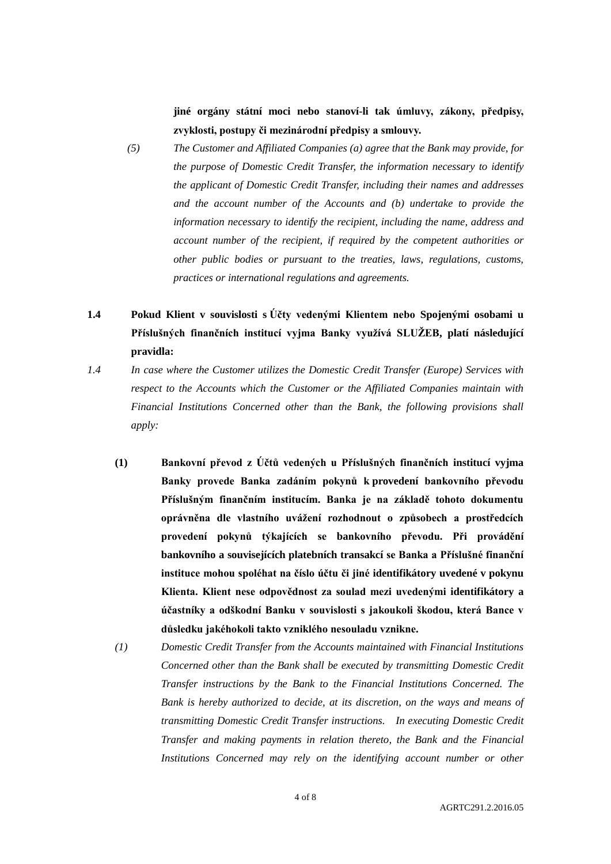**jiné orgány státní moci nebo stanoví-li tak úmluvy, zákony, předpisy, zvyklosti, postupy či mezinárodní předpisy a smlouvy.**

- *(5) The Customer and Affiliated Companies (a) agree that the Bank may provide, for the purpose of Domestic Credit Transfer, the information necessary to identify the applicant of Domestic Credit Transfer, including their names and addresses and the account number of the Accounts and (b) undertake to provide the information necessary to identify the recipient, including the name, address and account number of the recipient, if required by the competent authorities or other public bodies or pursuant to the treaties, laws, regulations, customs, practices or international regulations and agreements.*
- **1.4 Pokud Klient v souvislosti s Účty vedenými Klientem nebo Spojenými osobami u Příslušných finančních institucí vyjma Banky využívá SLUŽEB, platí následující pravidla:**
- *1.4 In case where the Customer utilizes the Domestic Credit Transfer (Europe) Services with respect to the Accounts which the Customer or the Affiliated Companies maintain with Financial Institutions Concerned other than the Bank, the following provisions shall apply:*
	- **(1) Bankovní převod z Účtů vedených u Příslušných finančních institucí vyjma Banky provede Banka zadáním pokynů k provedení bankovního převodu Příslušným finančním institucím. Banka je na základě tohoto dokumentu oprávněna dle vlastního uvážení rozhodnout o způsobech a prostředcích provedení pokynů týkajících se bankovního převodu. Při provádění bankovního a souvisejících platebních transakcí se Banka a Příslušné finanční instituce mohou spoléhat na číslo účtu či jiné identifikátory uvedené v pokynu Klienta. Klient nese odpovědnost za soulad mezi uvedenými identifikátory a účastníky a odškodní Banku v souvislosti s jakoukoli škodou, která Bance v důsledku jakéhokoli takto vzniklého nesouladu vznikne.**
		- *(1) Domestic Credit Transfer from the Accounts maintained with Financial Institutions Concerned other than the Bank shall be executed by transmitting Domestic Credit Transfer instructions by the Bank to the Financial Institutions Concerned. The Bank is hereby authorized to decide, at its discretion, on the ways and means of transmitting Domestic Credit Transfer instructions. In executing Domestic Credit Transfer and making payments in relation thereto, the Bank and the Financial Institutions Concerned may rely on the identifying account number or other*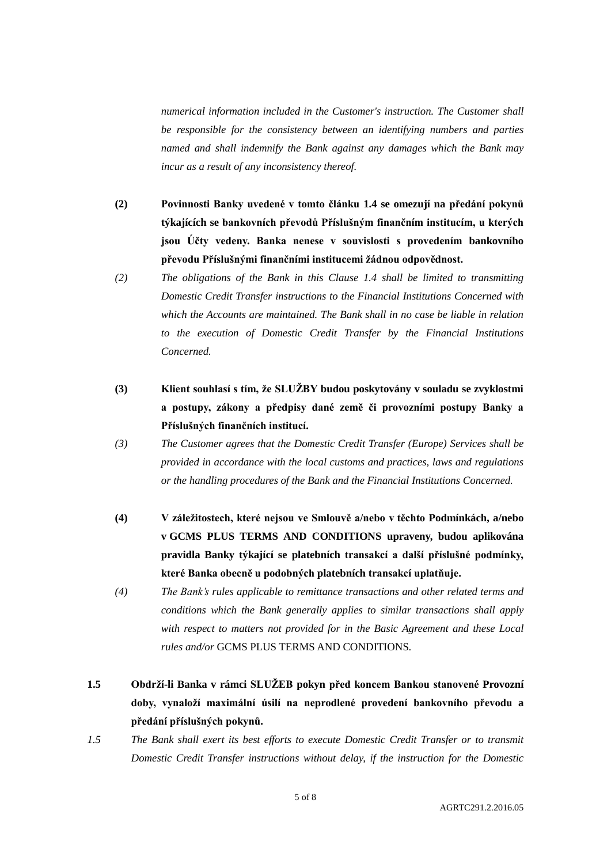*numerical information included in the Customer's instruction. The Customer shall be responsible for the consistency between an identifying numbers and parties named and shall indemnify the Bank against any damages which the Bank may incur as a result of any inconsistency thereof.*

- **(2) Povinnosti Banky uvedené v tomto článku 1.4 se omezují na předání pokynů týkajících se bankovních převodů Příslušným finančním institucím, u kterých jsou Účty vedeny. Banka nenese v souvislosti s provedením bankovního převodu Příslušnými finančními institucemi žádnou odpovědnost.**
- *(2) The obligations of the Bank in this Clause 1.4 shall be limited to transmitting Domestic Credit Transfer instructions to the Financial Institutions Concerned with which the Accounts are maintained. The Bank shall in no case be liable in relation to the execution of Domestic Credit Transfer by the Financial Institutions Concerned.*
- **(3) Klient souhlasí s tím, že SLUŽBY budou poskytovány v souladu se zvyklostmi a postupy, zákony a předpisy dané země či provozními postupy Banky a Příslušných finančních institucí.**
- *(3) The Customer agrees that the Domestic Credit Transfer (Europe) Services shall be provided in accordance with the local customs and practices, laws and regulations or the handling procedures of the Bank and the Financial Institutions Concerned.*
- **(4) V záležitostech, které nejsou ve Smlouvě a/nebo v těchto Podmínkách, a/nebo v GCMS PLUS TERMS AND CONDITIONS upraveny, budou aplikována pravidla Banky týkající se platebních transakcí a další příslušné podmínky, které Banka obecně u podobných platebních transakcí uplatňuje.**
- *(4) The Bank's rules applicable to remittance transactions and other related terms and conditions which the Bank generally applies to similar transactions shall apply with respect to matters not provided for in the Basic Agreement and these Local rules and/or* GCMS PLUS TERMS AND CONDITIONS*.*
- **1.5 Obdrží-li Banka v rámci SLUŽEB pokyn před koncem Bankou stanovené Provozní doby, vynaloží maximální úsilí na neprodlené provedení bankovního převodu a předání příslušných pokynů.**
- *1.5 The Bank shall exert its best efforts to execute Domestic Credit Transfer or to transmit Domestic Credit Transfer instructions without delay, if the instruction for the Domestic*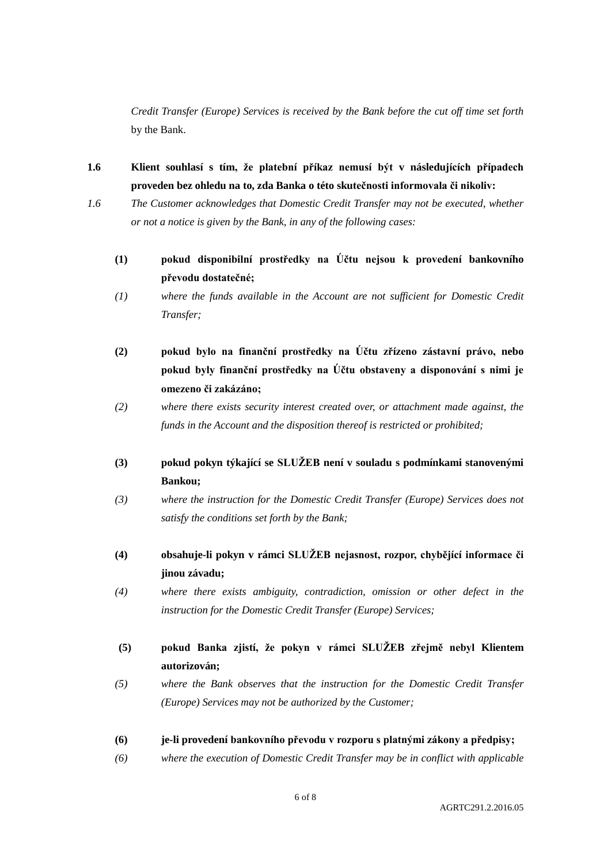*Credit Transfer (Europe) Services is received by the Bank before the cut off time set forth* by the Bank.

- **1.6 Klient souhlasí s tím, že platební příkaz nemusí být v následujících případech proveden bez ohledu na to, zda Banka o této skutečnosti informovala či nikoliv:**
- *1.6 The Customer acknowledges that Domestic Credit Transfer may not be executed, whether or not a notice is given by the Bank, in any of the following cases:*
	- **(1) pokud disponibilní prostředky na Účtu nejsou k provedení bankovního převodu dostatečné;**
	- *(1) where the funds available in the Account are not sufficient for Domestic Credit Transfer;*
	- **(2) pokud bylo na finanční prostředky na Účtu zřízeno zástavní právo, nebo pokud byly finanční prostředky na Účtu obstaveny a disponování s nimi je omezeno či zakázáno;**
	- *(2) where there exists security interest created over, or attachment made against, the funds in the Account and the disposition thereof is restricted or prohibited;*
	- **(3) pokud pokyn týkající se SLUŽEB není v souladu s podmínkami stanovenými Bankou;**
	- *(3) where the instruction for the Domestic Credit Transfer (Europe) Services does not satisfy the conditions set forth by the Bank;*
	- **(4) obsahuje-li pokyn v rámci SLUŽEB nejasnost, rozpor, chybějící informace či jinou závadu;**
	- *(4) where there exists ambiguity, contradiction, omission or other defect in the instruction for the Domestic Credit Transfer (Europe) Services;*
	- **(5) pokud Banka zjistí, že pokyn v rámci SLUŽEB zřejmě nebyl Klientem autorizován;**
	- *(5) where the Bank observes that the instruction for the Domestic Credit Transfer (Europe) Services may not be authorized by the Customer;*
	- **(6) je-li provedení bankovního převodu v rozporu s platnými zákony a předpisy;**
	- *(6) where the execution of Domestic Credit Transfer may be in conflict with applicable*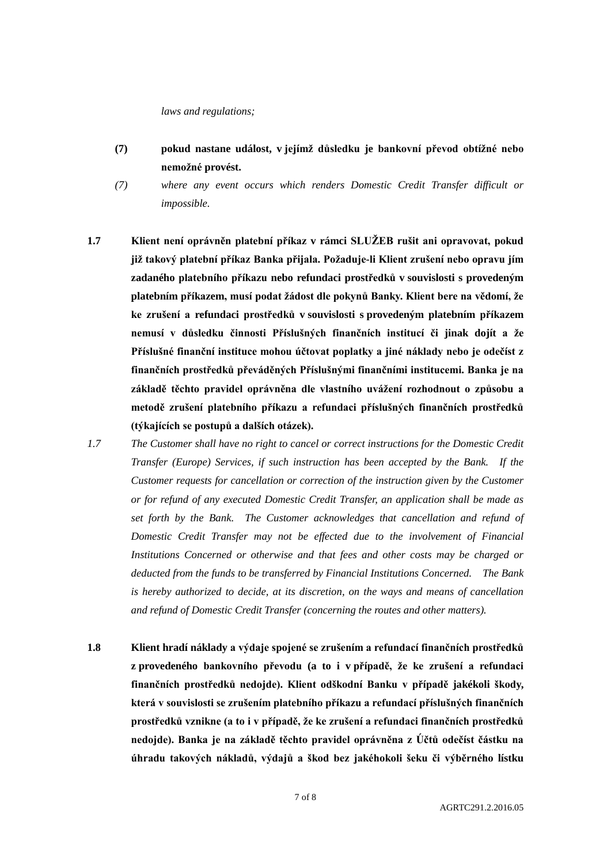#### *laws and regulations;*

- **(7) pokud nastane událost, v jejímž důsledku je bankovní převod obtížné nebo nemožné provést.**
- *(7) where any event occurs which renders Domestic Credit Transfer difficult or impossible.*
- **1.7 Klient není oprávněn platební příkaz v rámci SLUŽEB rušit ani opravovat, pokud již takový platební příkaz Banka přijala. Požaduje-li Klient zrušení nebo opravu jím zadaného platebního příkazu nebo refundaci prostředků v souvislosti s provedeným platebním příkazem, musí podat žádost dle pokynů Banky. Klient bere na vědomí, že ke zrušení a refundaci prostředků v souvislosti s provedeným platebním příkazem nemusí v důsledku činnosti Příslušných finančních institucí či jinak dojít a že Příslušné finanční instituce mohou účtovat poplatky a jiné náklady nebo je odečíst z finančních prostředků převáděných Příslušnými finančními institucemi. Banka je na základě těchto pravidel oprávněna dle vlastního uvážení rozhodnout o způsobu a metodě zrušení platebního příkazu a refundaci příslušných finančních prostředků (týkajících se postupů a dalších otázek).**
- *1.7 The Customer shall have no right to cancel or correct instructions for the Domestic Credit Transfer (Europe) Services, if such instruction has been accepted by the Bank. If the Customer requests for cancellation or correction of the instruction given by the Customer or for refund of any executed Domestic Credit Transfer, an application shall be made as set forth by the Bank. The Customer acknowledges that cancellation and refund of Domestic Credit Transfer may not be effected due to the involvement of Financial Institutions Concerned or otherwise and that fees and other costs may be charged or deducted from the funds to be transferred by Financial Institutions Concerned. The Bank is hereby authorized to decide, at its discretion, on the ways and means of cancellation and refund of Domestic Credit Transfer (concerning the routes and other matters).*
- **1.8 Klient hradí náklady a výdaje spojené se zrušením a refundací finančních prostředků z provedeného bankovního převodu (a to i v případě, že ke zrušení a refundaci finančních prostředků nedojde). Klient odškodní Banku v případě jakékoli škody, která v souvislosti se zrušením platebního příkazu a refundací příslušných finančních prostředků vznikne (a to i v případě, že ke zrušení a refundaci finančních prostředků nedojde). Banka je na základě těchto pravidel oprávněna z Účtů odečíst částku na úhradu takových nákladů, výdajů a škod bez jakéhokoli šeku či výběrného lístku**